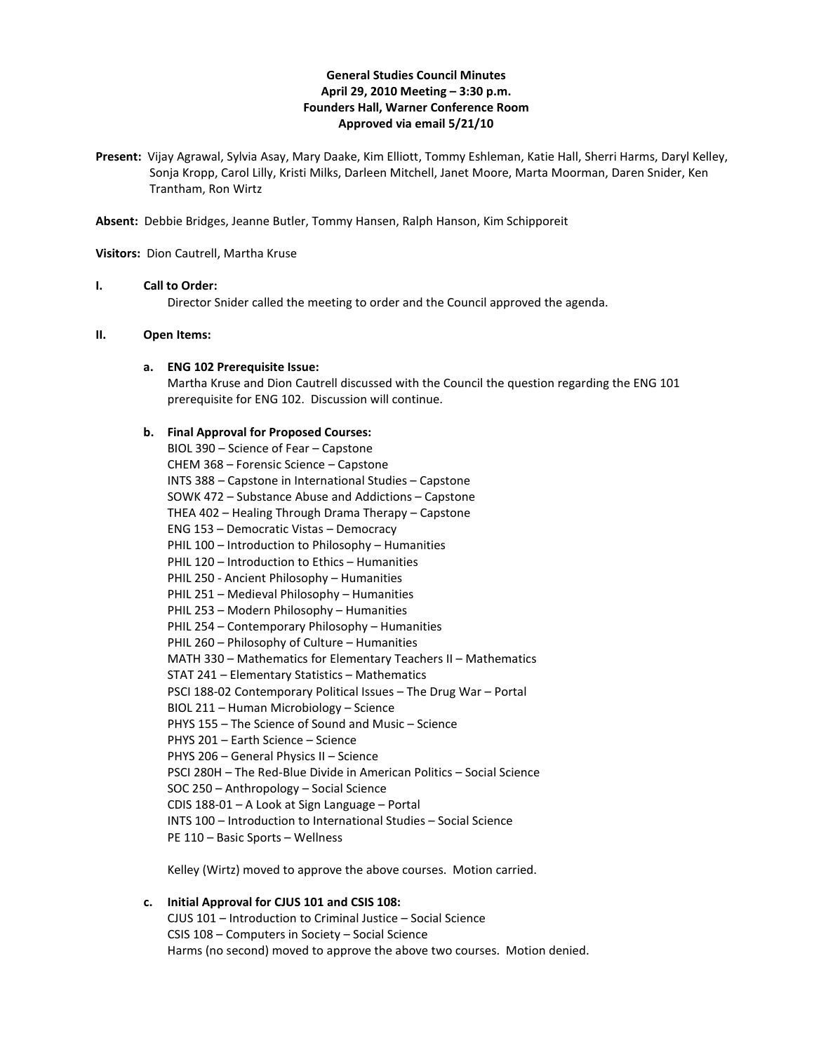# **General Studies Council Minutes April 29, 2010 Meeting – 3:30 p.m. Founders Hall, Warner Conference Room Approved via email 5/21/10**

**Present:** Vijay Agrawal, Sylvia Asay, Mary Daake, Kim Elliott, Tommy Eshleman, Katie Hall, Sherri Harms, Daryl Kelley, Sonja Kropp, Carol Lilly, Kristi Milks, Darleen Mitchell, Janet Moore, Marta Moorman, Daren Snider, Ken Trantham, Ron Wirtz

**Absent:** Debbie Bridges, Jeanne Butler, Tommy Hansen, Ralph Hanson, Kim Schipporeit

**Visitors:** Dion Cautrell, Martha Kruse

# **I. Call to Order:**

Director Snider called the meeting to order and the Council approved the agenda.

#### **II. Open Items:**

#### **a. ENG 102 Prerequisite Issue:**

Martha Kruse and Dion Cautrell discussed with the Council the question regarding the ENG 101 prerequisite for ENG 102. Discussion will continue.

#### **b. Final Approval for Proposed Courses:**

BIOL 390 – Science of Fear – Capstone CHEM 368 – Forensic Science – Capstone INTS 388 – Capstone in International Studies – Capstone SOWK 472 – Substance Abuse and Addictions – Capstone THEA 402 – Healing Through Drama Therapy – Capstone ENG 153 – Democratic Vistas – Democracy PHIL 100 – Introduction to Philosophy – Humanities PHIL 120 – Introduction to Ethics – Humanities PHIL 250 - Ancient Philosophy – Humanities PHIL 251 – Medieval Philosophy – Humanities PHIL 253 – Modern Philosophy – Humanities PHIL 254 – Contemporary Philosophy – Humanities PHIL 260 – Philosophy of Culture – Humanities MATH 330 – Mathematics for Elementary Teachers II – Mathematics STAT 241 – Elementary Statistics – Mathematics PSCI 188-02 Contemporary Political Issues – The Drug War – Portal BIOL 211 – Human Microbiology – Science PHYS 155 – The Science of Sound and Music – Science PHYS 201 – Earth Science – Science PHYS 206 – General Physics II – Science PSCI 280H – The Red-Blue Divide in American Politics – Social Science SOC 250 – Anthropology – Social Science CDIS 188-01 – A Look at Sign Language – Portal INTS 100 – Introduction to International Studies – Social Science PE 110 – Basic Sports – Wellness

Kelley (Wirtz) moved to approve the above courses. Motion carried.

# **c. Initial Approval for CJUS 101 and CSIS 108:** CJUS 101 – Introduction to Criminal Justice – Social Science CSIS 108 – Computers in Society – Social Science Harms (no second) moved to approve the above two courses. Motion denied.